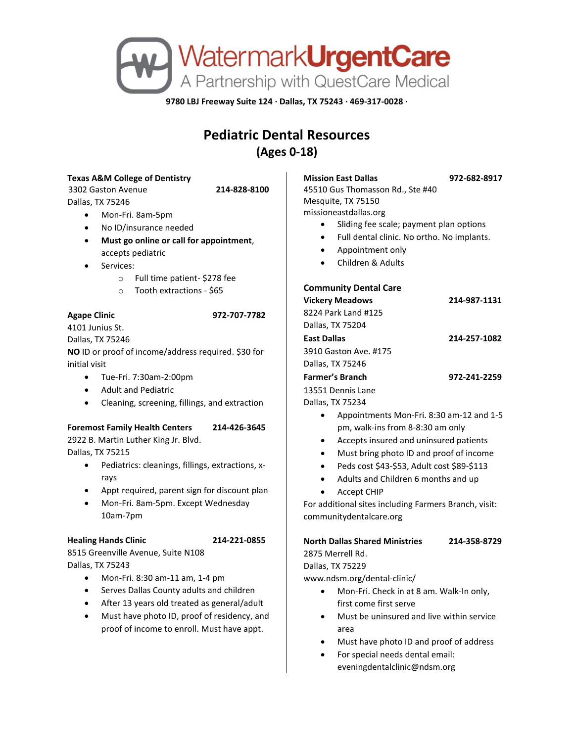

**9780 LBJ Freeway Suite 124 · Dallas, TX 75243 · 469-317-0028 ·**

# **Pediatric Dental Resources (Ages 0-18)**

#### **Texas A&M College of Dentistry**

3302 Gaston Avenue **214-828-8100** Dallas, TX 75246

- Mon-Fri. 8am-5pm
- No ID/insurance needed
- **Must go online or call for appointment**, accepts pediatric
- Services:
	- o Full time patient- \$278 fee
	- o Tooth extractions \$65

#### **Agape Clinic 972-707-7782**

4101 Junius St. Dallas, TX 75246 **NO** ID or proof of income/address required. \$30 for initial visit

- Tue-Fri. 7:30am-2:00pm
- Adult and Pediatric
- Cleaning, screening, fillings, and extraction

#### **Foremost Family Health Centers 214-426-3645**

2922 B. Martin Luther King Jr. Blvd. Dallas, TX 75215

- Pediatrics: cleanings, fillings, extractions, xrays
- Appt required, parent sign for discount plan
- Mon-Fri. 8am-5pm. Except Wednesday 10am-7pm

#### **Healing Hands Clinic 214-221-0855**

8515 Greenville Avenue, Suite N108 Dallas, TX 75243

- Mon-Fri. 8:30 am-11 am, 1-4 pm
- Serves Dallas County adults and children
- After 13 years old treated as general/adult
- Must have photo ID, proof of residency, and proof of income to enroll. Must have appt.

**Mission East Dallas 972-682-8917**

45510 Gus Thomasson Rd., Ste #40 Mesquite, TX 75150 missioneastdallas.org

- Sliding fee scale; payment plan options
- Full dental clinic. No ortho. No implants.
- Appointment only
- Children & Adults

### **Community Dental Care**

| 214-987-1131 |
|--------------|
|              |
|              |
| 214-257-1082 |
|              |
|              |
| 972-241-2259 |
|              |
|              |
|              |

- Appointments Mon-Fri. 8:30 am-12 and 1-5 pm, walk-ins from 8-8:30 am only
- Accepts insured and uninsured patients
- Must bring photo ID and proof of income
- Peds cost \$43-\$53, Adult cost \$89-\$113
- Adults and Children 6 months and up
- Accept CHIP

For additional sites including Farmers Branch, visit: communitydentalcare.org

## **North Dallas Shared Ministries 214-358-8729** 2875 Merrell Rd.

Dallas, TX 75229

www.ndsm.org/dental-clinic/

- Mon-Fri. Check in at 8 am. Walk-In only, first come first serve
- Must be uninsured and live within service area
- Must have photo ID and proof of address
- For special needs dental email: eveningdentalclinic@ndsm.org